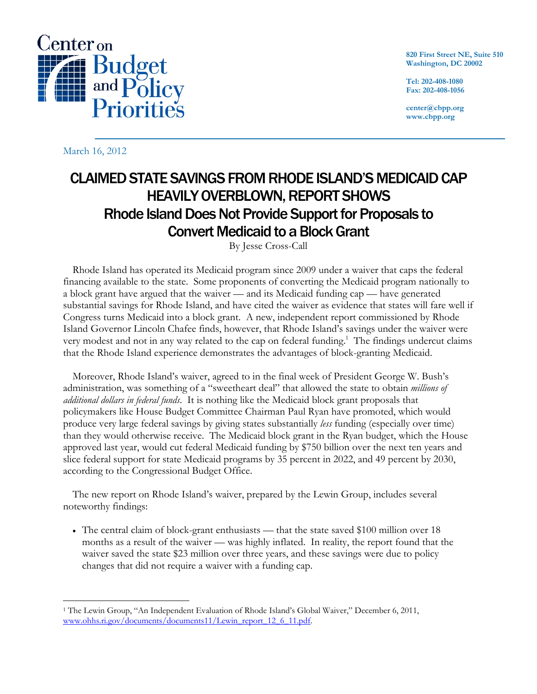

**820 First Street NE, Suite 510 Washington, DC 20002** 

**Tel: 202-408-1080 Fax: 202-408-1056** 

**center@cbpp.org www.cbpp.org** 

March 16, 2012

## CLAIMED STATE SAVINGS FROM RHODE ISLAND'S MEDICAID CAP HEAVILY OVERBLOWN, REPORT SHOWS Rhode Island Does Not Provide Support for Proposals to Convert Medicaid to a Block Grant

By Jesse Cross-Call

Rhode Island has operated its Medicaid program since 2009 under a waiver that caps the federal financing available to the state. Some proponents of converting the Medicaid program nationally to a block grant have argued that the waiver — and its Medicaid funding cap — have generated substantial savings for Rhode Island, and have cited the waiver as evidence that states will fare well if Congress turns Medicaid into a block grant. A new, independent report commissioned by Rhode Island Governor Lincoln Chafee finds, however, that Rhode Island's savings under the waiver were very modest and not in any way related to the cap on federal funding.<sup>1</sup> The findings undercut claims that the Rhode Island experience demonstrates the advantages of block-granting Medicaid.

Moreover, Rhode Island's waiver, agreed to in the final week of President George W. Bush's administration, was something of a "sweetheart deal" that allowed the state to obtain *millions of additional dollars in federal funds*. It is nothing like the Medicaid block grant proposals that policymakers like House Budget Committee Chairman Paul Ryan have promoted, which would produce very large federal savings by giving states substantially *less* funding (especially over time) than they would otherwise receive. The Medicaid block grant in the Ryan budget, which the House approved last year, would cut federal Medicaid funding by \$750 billion over the next ten years and slice federal support for state Medicaid programs by 35 percent in 2022, and 49 percent by 2030, according to the Congressional Budget Office.

The new report on Rhode Island's waiver, prepared by the Lewin Group, includes several noteworthy findings:

 The central claim of block-grant enthusiasts — that the state saved \$100 million over 18 months as a result of the waiver — was highly inflated. In reality, the report found that the waiver saved the state \$23 million over three years, and these savings were due to policy changes that did not require a waiver with a funding cap.

 $\overline{a}$ 1 The Lewin Group, "An Independent Evaluation of Rhode Island's Global Waiver," December 6, 2011, www.ohhs.ri.gov/documents/documents11/Lewin\_report\_12\_6\_11.pdf.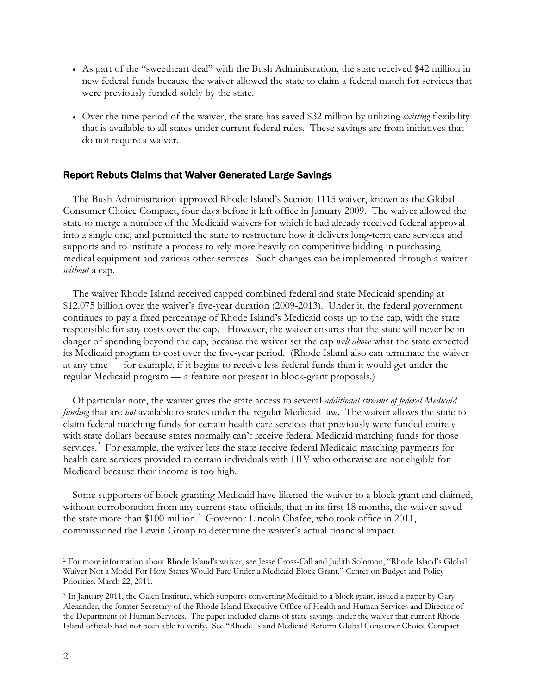- As part of the "sweetheart deal" with the Bush Administration, the state received \$42 million in new federal funds because the waiver allowed the state to claim a federal match for services that were previously funded solely by the state.
- Over the time period of the waiver, the state has saved \$32 million by utilizing *existing* flexibility that is available to all states under current federal rules. These savings are from initiatives that do not require a waiver.

## Report Rebuts Claims that Waiver Generated Large Savings

The Bush Administration approved Rhode Island's Section 1115 waiver, known as the Global Consumer Choice Compact, four days before it left office in January 2009. The waiver allowed the state to merge a number of the Medicaid waivers for which it had already received federal approval into a single one, and permitted the state to restructure how it delivers long-term care services and supports and to institute a process to rely more heavily on competitive bidding in purchasing medical equipment and various other services. Such changes can be implemented through a waiver *without* a cap.

The waiver Rhode Island received capped combined federal and state Medicaid spending at \$12.075 billion over the waiver's five-year duration (2009-2013). Under it, the federal government continues to pay a fixed percentage of Rhode Island's Medicaid costs up to the cap, with the state responsible for any costs over the cap. However, the waiver ensures that the state will never be in danger of spending beyond the cap, because the waiver set the cap *well above* what the state expected its Medicaid program to cost over the five-year period. (Rhode Island also can terminate the waiver at any time — for example, if it begins to receive less federal funds than it would get under the regular Medicaid program — a feature not present in block-grant proposals.)

Of particular note, the waiver gives the state access to several *additional streams of federal Medicaid funding* that are *not* available to states under the regular Medicaid law. The waiver allows the state to claim federal matching funds for certain health care services that previously were funded entirely with state dollars because states normally can't receive federal Medicaid matching funds for those services.<sup>2</sup> For example, the waiver lets the state receive federal Medicaid matching payments for health care services provided to certain individuals with HIV who otherwise are not eligible for Medicaid because their income is too high.

Some supporters of block-granting Medicaid have likened the waiver to a block grant and claimed, without corroboration from any current state officials, that in its first 18 months, the waiver saved the state more than \$100 million.<sup>3</sup> Governor Lincoln Chafee, who took office in 2011, commissioned the Lewin Group to determine the waiver's actual financial impact.

-

<sup>2</sup> For more information about Rhode Island's waiver, see Jesse Cross-Call and Judith Solomon, "Rhode Island's Global Waiver Not a Model For How States Would Fare Under a Medicaid Block Grant," Center on Budget and Policy Priorities, March 22, 2011.

<sup>3</sup> In January 2011, the Galen Institute, which supports converting Medicaid to a block grant, issued a paper by Gary Alexander, the former Secretary of the Rhode Island Executive Office of Health and Human Services and Director of the Department of Human Services. The paper included claims of state savings under the waiver that current Rhode Island officials had not been able to verify. See "Rhode Island Medicaid Reform Global Consumer Choice Compact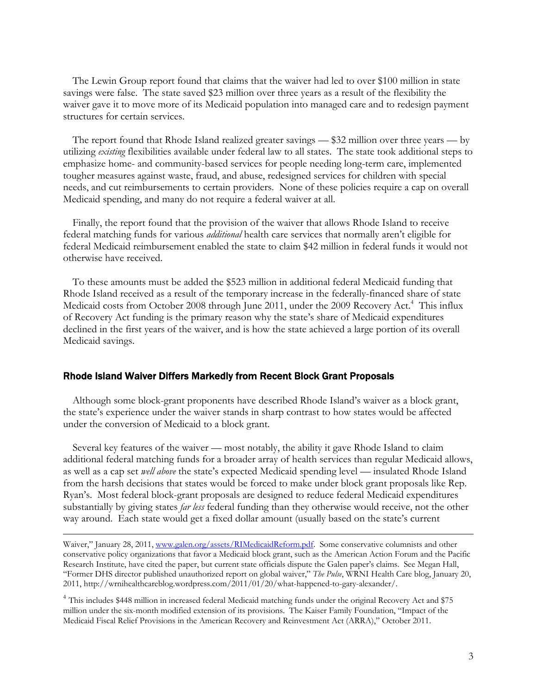The Lewin Group report found that claims that the waiver had led to over \$100 million in state savings were false. The state saved \$23 million over three years as a result of the flexibility the waiver gave it to move more of its Medicaid population into managed care and to redesign payment structures for certain services.

The report found that Rhode Island realized greater savings — \$32 million over three years — by utilizing *existing* flexibilities available under federal law to all states. The state took additional steps to emphasize home- and community-based services for people needing long-term care, implemented tougher measures against waste, fraud, and abuse, redesigned services for children with special needs, and cut reimbursements to certain providers. None of these policies require a cap on overall Medicaid spending, and many do not require a federal waiver at all.

Finally, the report found that the provision of the waiver that allows Rhode Island to receive federal matching funds for various *additional* health care services that normally aren't eligible for federal Medicaid reimbursement enabled the state to claim \$42 million in federal funds it would not otherwise have received.

To these amounts must be added the \$523 million in additional federal Medicaid funding that Rhode Island received as a result of the temporary increase in the federally-financed share of state Medicaid costs from October 2008 through June 2011, under the 2009 Recovery Act.<sup>4</sup> This influx of Recovery Act funding is the primary reason why the state's share of Medicaid expenditures declined in the first years of the waiver, and is how the state achieved a large portion of its overall Medicaid savings.

## Rhode Island Waiver Differs Markedly from Recent Block Grant Proposals

Although some block-grant proponents have described Rhode Island's waiver as a block grant, the state's experience under the waiver stands in sharp contrast to how states would be affected under the conversion of Medicaid to a block grant.

Several key features of the waiver — most notably, the ability it gave Rhode Island to claim additional federal matching funds for a broader array of health services than regular Medicaid allows, as well as a cap set *well above* the state's expected Medicaid spending level — insulated Rhode Island from the harsh decisions that states would be forced to make under block grant proposals like Rep. Ryan's. Most federal block-grant proposals are designed to reduce federal Medicaid expenditures substantially by giving states *far less* federal funding than they otherwise would receive, not the other way around. Each state would get a fixed dollar amount (usually based on the state's current

Waiver," January 28, 2011, www.galen.org/assets/RIMedicaidReform.pdf. Some conservative columnists and other conservative policy organizations that favor a Medicaid block grant, such as the American Action Forum and the Pacific Research Institute, have cited the paper, but current state officials dispute the Galen paper's claims. See Megan Hall, "Former DHS director published unauthorized report on global waiver," *The Pulse*, WRNI Health Care blog, January 20, 2011, http://wrnihealthcareblog.wordpress.com/2011/01/20/what-happened-to-gary-alexander/.

<sup>4</sup> This includes \$448 million in increased federal Medicaid matching funds under the original Recovery Act and \$75 million under the six-month modified extension of its provisions. The Kaiser Family Foundation, "Impact of the Medicaid Fiscal Relief Provisions in the American Recovery and Reinvestment Act (ARRA)," October 2011.